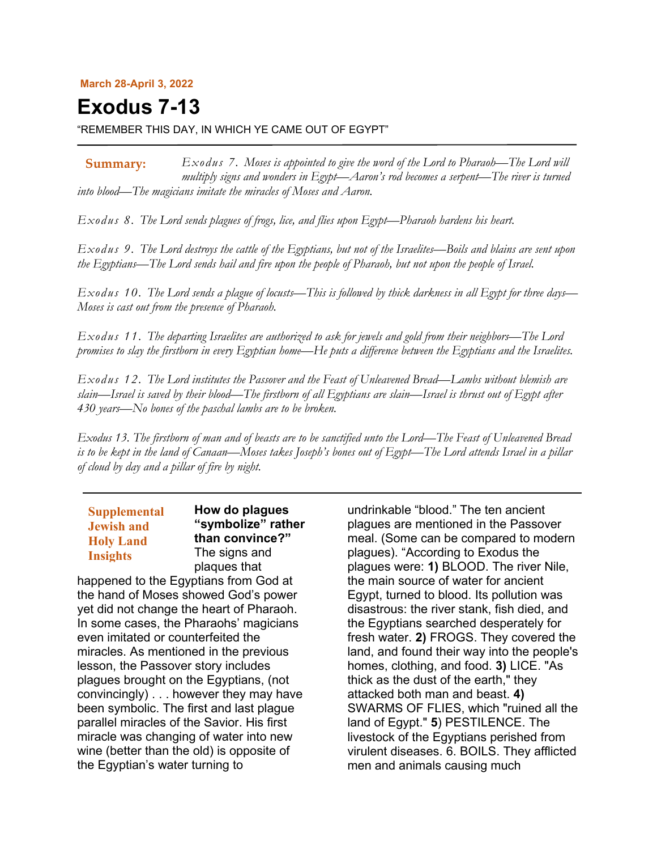#### **March 28-April 3, 2022**

# **Exodus 7-13**

"REMEMBER THIS DAY, IN WHICH YE CAME OUT OF EGYPT"

*Exodus 7. Moses is appointed to give the word of the Lord to Pharaoh—The Lord will multiply signs and wonders in Egypt—Aaron's rod becomes a serpent—The river is turned into blood—The magicians imitate the miracles of Moses and Aaron.* **Summary:**

*Exodus 8. The Lord sends plagues of frogs, lice, and flies upon Egypt—Pharaoh hardens his heart.*

*Exodus 9. The Lord destroys the cattle of the Egyptians, but not of the Israelites—Boils and blains are sent upon the Egyptians—The Lord sends hail and fire upon the people of Pharaoh, but not upon the people of Israel.*

*Exodus 10. The Lord sends a plague of locusts—This is followed by thick darkness in all Egypt for three days— Moses is cast out from the presence of Pharaoh.*

*Exodus 11. The departing Israelites are authorized to ask for jewels and gold from their neighbors—The Lord promises to slay the firstborn in every Egyptian home—He puts a difference between the Egyptians and the Israelites.*

*Exodus 12. The Lord institutes the Passover and the Feast of Unleavened Bread—Lambs without blemish are slain—Israel is saved by their blood—The firstborn of all Egyptians are slain—Israel is thrust out of Egypt after 430 years—No bones of the paschal lambs are to be broken.*

*Exodus 13. The firstborn of man and of beasts are to be sanctified unto the Lord—The Feast of Unleavened Bread is to be kept in the land of Canaan—Moses takes Joseph's bones out of Egypt—The Lord attends Israel in a pillar of cloud by day and a pillar of fire by night.*

| <b>Supplemental</b> |  |
|---------------------|--|
| <b>Jewish and</b>   |  |
| <b>Holy Land</b>    |  |
| <b>Insights</b>     |  |

**How do plagues "symbolize" rather than convince?"** The signs and plaques that

happened to the Egyptians from God at the hand of Moses showed God's power yet did not change the heart of Pharaoh. In some cases, the Pharaohs' magicians even imitated or counterfeited the miracles. As mentioned in the previous lesson, the Passover story includes plagues brought on the Egyptians, (not convincingly) . . . however they may have been symbolic. The first and last plague parallel miracles of the Savior. His first miracle was changing of water into new wine (better than the old) is opposite of the Egyptian's water turning to

undrinkable "blood." The ten ancient plagues are mentioned in the Passover meal. (Some can be compared to modern plagues). "According to Exodus the plagues were: **1)** BLOOD. The river Nile, the main source of water for ancient Egypt, turned to blood. Its pollution was disastrous: the river stank, fish died, and the Egyptians searched desperately for fresh water. **2)** FROGS. They covered the land, and found their way into the people's homes, clothing, and food. **3)** LICE. "As thick as the dust of the earth," they attacked both man and beast. **4)** SWARMS OF FLIES, which "ruined all the land of Egypt." **5**) PESTILENCE. The livestock of the Egyptians perished from virulent diseases. 6. BOILS. They afflicted men and animals causing much